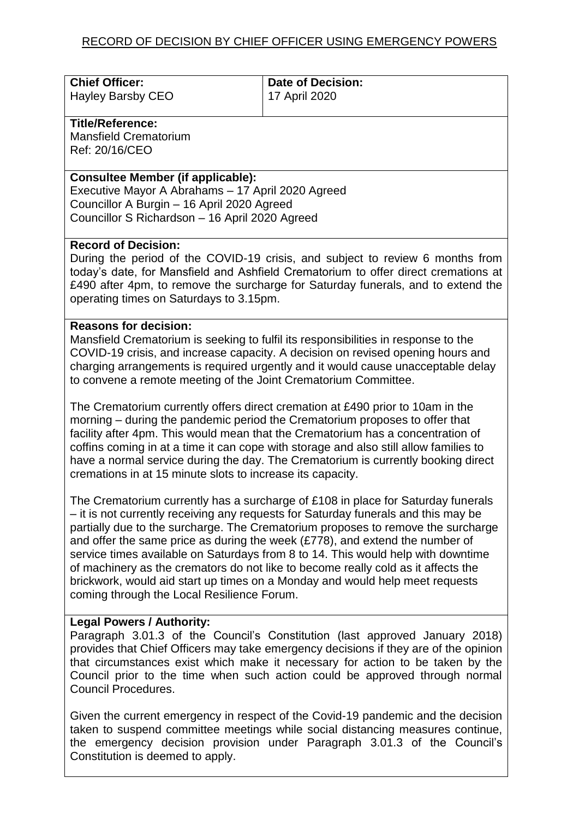| <b>Chief Officer:</b> | Date of Decision: |
|-----------------------|-------------------|
| Hayley Barsby CEO     | 17 April 2020     |

# **Title/Reference:**

Mansfield Crematorium Ref: 20/16/CEO

### **Consultee Member (if applicable):**

Executive Mayor A Abrahams – 17 April 2020 Agreed Councillor A Burgin – 16 April 2020 Agreed Councillor S Richardson – 16 April 2020 Agreed

### **Record of Decision:**

During the period of the COVID-19 crisis, and subject to review 6 months from today's date, for Mansfield and Ashfield Crematorium to offer direct cremations at £490 after 4pm, to remove the surcharge for Saturday funerals, and to extend the operating times on Saturdays to 3.15pm.

# **Reasons for decision:**

Mansfield Crematorium is seeking to fulfil its responsibilities in response to the COVID-19 crisis, and increase capacity. A decision on revised opening hours and charging arrangements is required urgently and it would cause unacceptable delay to convene a remote meeting of the Joint Crematorium Committee.

The Crematorium currently offers direct cremation at £490 prior to 10am in the morning – during the pandemic period the Crematorium proposes to offer that facility after 4pm. This would mean that the Crematorium has a concentration of coffins coming in at a time it can cope with storage and also still allow families to have a normal service during the day. The Crematorium is currently booking direct cremations in at 15 minute slots to increase its capacity.

The Crematorium currently has a surcharge of £108 in place for Saturday funerals – it is not currently receiving any requests for Saturday funerals and this may be partially due to the surcharge. The Crematorium proposes to remove the surcharge and offer the same price as during the week (£778), and extend the number of service times available on Saturdays from 8 to 14. This would help with downtime of machinery as the cremators do not like to become really cold as it affects the brickwork, would aid start up times on a Monday and would help meet requests coming through the Local Resilience Forum.

# **Legal Powers / Authority:**

Paragraph 3.01.3 of the Council's Constitution (last approved January 2018) provides that Chief Officers may take emergency decisions if they are of the opinion that circumstances exist which make it necessary for action to be taken by the Council prior to the time when such action could be approved through normal Council Procedures.

Given the current emergency in respect of the Covid-19 pandemic and the decision taken to suspend committee meetings while social distancing measures continue, the emergency decision provision under Paragraph 3.01.3 of the Council's Constitution is deemed to apply.